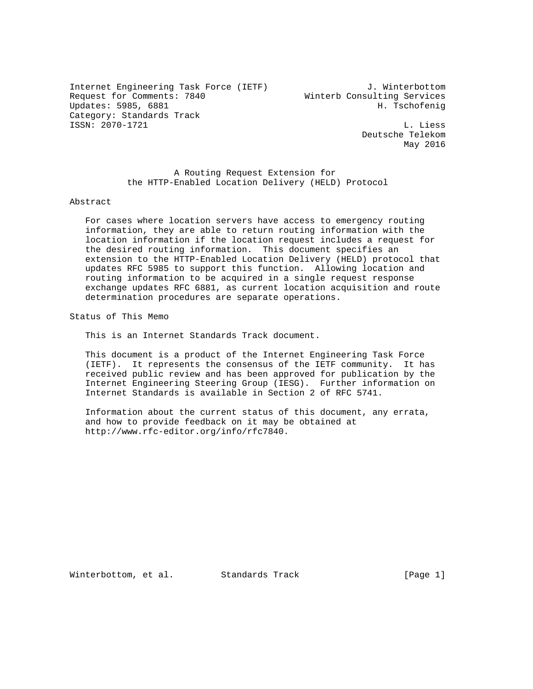Internet Engineering Task Force (IETF) J. Winterbottom Request for Comments: 7840 Winterb Consulting Services Updates: 5985, 6881 H. Tschofenig Category: Standards Track ISSN: 2070-1721 L. Liess

 Deutsche Telekom May 2016

 A Routing Request Extension for the HTTP-Enabled Location Delivery (HELD) Protocol

Abstract

 For cases where location servers have access to emergency routing information, they are able to return routing information with the location information if the location request includes a request for the desired routing information. This document specifies an extension to the HTTP-Enabled Location Delivery (HELD) protocol that updates RFC 5985 to support this function. Allowing location and routing information to be acquired in a single request response exchange updates RFC 6881, as current location acquisition and route determination procedures are separate operations.

Status of This Memo

This is an Internet Standards Track document.

 This document is a product of the Internet Engineering Task Force (IETF). It represents the consensus of the IETF community. It has received public review and has been approved for publication by the Internet Engineering Steering Group (IESG). Further information on Internet Standards is available in Section 2 of RFC 5741.

 Information about the current status of this document, any errata, and how to provide feedback on it may be obtained at http://www.rfc-editor.org/info/rfc7840.

Winterbottom, et al. Standards Track [Page 1]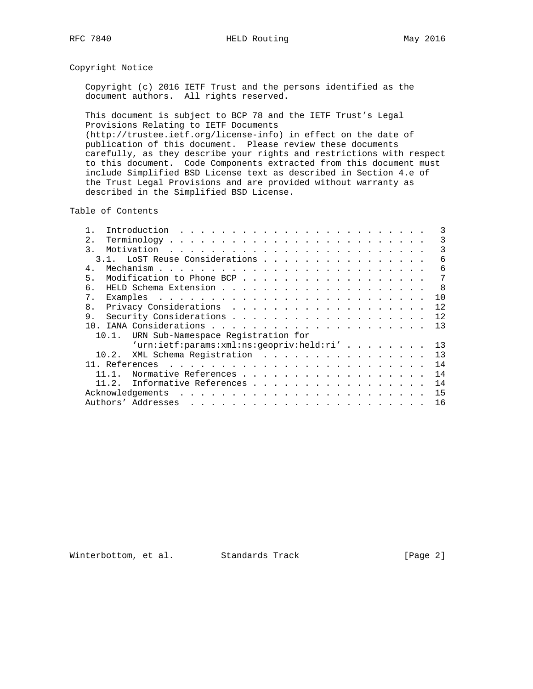### Copyright Notice

 Copyright (c) 2016 IETF Trust and the persons identified as the document authors. All rights reserved.

 This document is subject to BCP 78 and the IETF Trust's Legal Provisions Relating to IETF Documents (http://trustee.ietf.org/license-info) in effect on the date of publication of this document. Please review these documents carefully, as they describe your rights and restrictions with respect to this document. Code Components extracted from this document must include Simplified BSD License text as described in Section 4.e of the Trust Legal Provisions and are provided without warranty as described in the Simplified BSD License.

Table of Contents

|                                             |                                | Introduction                                                                                                                                         |  |                                                                             |  |  |  |  |  |  |  |  |  |  |  |  |  |  |     |
|---------------------------------------------|--------------------------------|------------------------------------------------------------------------------------------------------------------------------------------------------|--|-----------------------------------------------------------------------------|--|--|--|--|--|--|--|--|--|--|--|--|--|--|-----|
|                                             | 2.                             |                                                                                                                                                      |  |                                                                             |  |  |  |  |  |  |  |  |  |  |  |  |  |  | 3   |
|                                             | $\mathcal{E}$                  |                                                                                                                                                      |  |                                                                             |  |  |  |  |  |  |  |  |  |  |  |  |  |  | ζ   |
|                                             | 3.1. LoST Reuse Considerations |                                                                                                                                                      |  |                                                                             |  |  |  |  |  |  |  |  |  |  |  |  |  |  | 6   |
|                                             | $4$ .                          |                                                                                                                                                      |  |                                                                             |  |  |  |  |  |  |  |  |  |  |  |  |  |  | 6   |
|                                             | 5.                             | Modification to Phone BCP                                                                                                                            |  |                                                                             |  |  |  |  |  |  |  |  |  |  |  |  |  |  | 7   |
|                                             | б.                             |                                                                                                                                                      |  |                                                                             |  |  |  |  |  |  |  |  |  |  |  |  |  |  | - 8 |
|                                             | 7 <sub>1</sub>                 |                                                                                                                                                      |  |                                                                             |  |  |  |  |  |  |  |  |  |  |  |  |  |  | 10  |
|                                             | 8.                             |                                                                                                                                                      |  |                                                                             |  |  |  |  |  |  |  |  |  |  |  |  |  |  | 12  |
|                                             | 9.                             |                                                                                                                                                      |  |                                                                             |  |  |  |  |  |  |  |  |  |  |  |  |  |  | 12  |
|                                             | 1 N                            |                                                                                                                                                      |  |                                                                             |  |  |  |  |  |  |  |  |  |  |  |  |  |  | 13  |
| URN Sub-Namespace Registration for<br>10.1. |                                |                                                                                                                                                      |  |                                                                             |  |  |  |  |  |  |  |  |  |  |  |  |  |  |     |
|                                             |                                | $'urn: \text{i} \in f: \text{params}: \text{xml}: \text{ns}: \text{geopriv}: \text{held}: \text{ri} \text{'} \quad \ldots \quad \ldots \quad \ldots$ |  |                                                                             |  |  |  |  |  |  |  |  |  |  |  |  |  |  | 13  |
|                                             | 10.2.                          | XML Schema Registration                                                                                                                              |  |                                                                             |  |  |  |  |  |  |  |  |  |  |  |  |  |  | 13  |
|                                             | 11. References                 |                                                                                                                                                      |  |                                                                             |  |  |  |  |  |  |  |  |  |  |  |  |  |  | 14  |
|                                             |                                | Normative References                                                                                                                                 |  |                                                                             |  |  |  |  |  |  |  |  |  |  |  |  |  |  | 14  |
|                                             | 11.2.                          | Informative References                                                                                                                               |  |                                                                             |  |  |  |  |  |  |  |  |  |  |  |  |  |  | 14  |
|                                             | Acknowledgements               |                                                                                                                                                      |  |                                                                             |  |  |  |  |  |  |  |  |  |  |  |  |  |  | 15  |
|                                             | Authors' Addresses             |                                                                                                                                                      |  | المتناول والمتناول والمتناول والمناول والمناول والمناول والمناول والمناولين |  |  |  |  |  |  |  |  |  |  |  |  |  |  | 16  |
|                                             |                                |                                                                                                                                                      |  |                                                                             |  |  |  |  |  |  |  |  |  |  |  |  |  |  |     |

Winterbottom, et al. Standards Track [Page 2]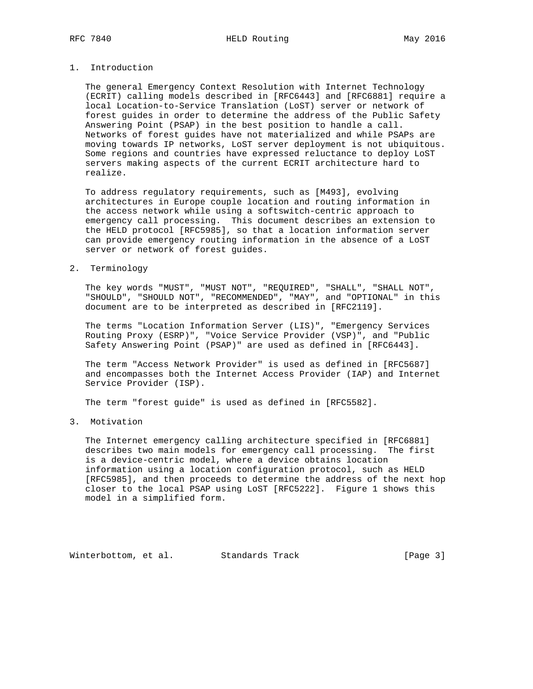### 1. Introduction

 The general Emergency Context Resolution with Internet Technology (ECRIT) calling models described in [RFC6443] and [RFC6881] require a local Location-to-Service Translation (LoST) server or network of forest guides in order to determine the address of the Public Safety Answering Point (PSAP) in the best position to handle a call. Networks of forest guides have not materialized and while PSAPs are moving towards IP networks, LoST server deployment is not ubiquitous. Some regions and countries have expressed reluctance to deploy LoST servers making aspects of the current ECRIT architecture hard to realize.

 To address regulatory requirements, such as [M493], evolving architectures in Europe couple location and routing information in the access network while using a softswitch-centric approach to emergency call processing. This document describes an extension to the HELD protocol [RFC5985], so that a location information server can provide emergency routing information in the absence of a LoST server or network of forest guides.

### 2. Terminology

 The key words "MUST", "MUST NOT", "REQUIRED", "SHALL", "SHALL NOT", "SHOULD", "SHOULD NOT", "RECOMMENDED", "MAY", and "OPTIONAL" in this document are to be interpreted as described in [RFC2119].

 The terms "Location Information Server (LIS)", "Emergency Services Routing Proxy (ESRP)", "Voice Service Provider (VSP)", and "Public Safety Answering Point (PSAP)" are used as defined in [RFC6443].

 The term "Access Network Provider" is used as defined in [RFC5687] and encompasses both the Internet Access Provider (IAP) and Internet Service Provider (ISP).

The term "forest guide" is used as defined in [RFC5582].

### 3. Motivation

 The Internet emergency calling architecture specified in [RFC6881] describes two main models for emergency call processing. The first is a device-centric model, where a device obtains location information using a location configuration protocol, such as HELD [RFC5985], and then proceeds to determine the address of the next hop closer to the local PSAP using LoST [RFC5222]. Figure 1 shows this model in a simplified form.

Winterbottom, et al. Standards Track [Page 3]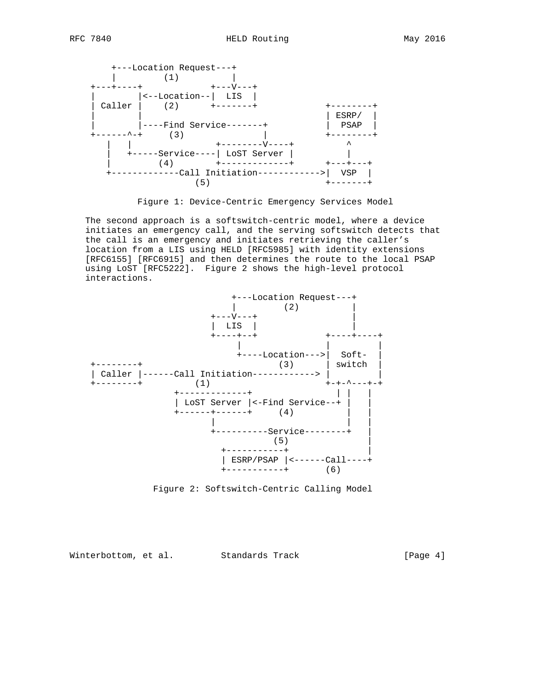

Figure 1: Device-Centric Emergency Services Model

 The second approach is a softswitch-centric model, where a device initiates an emergency call, and the serving softswitch detects that the call is an emergency and initiates retrieving the caller's location from a LIS using HELD [RFC5985] with identity extensions [RFC6155] [RFC6915] and then determines the route to the local PSAP using LoST [RFC5222]. Figure 2 shows the high-level protocol interactions.



Figure 2: Softswitch-Centric Calling Model

Winterbottom, et al. Standards Track [Page 4]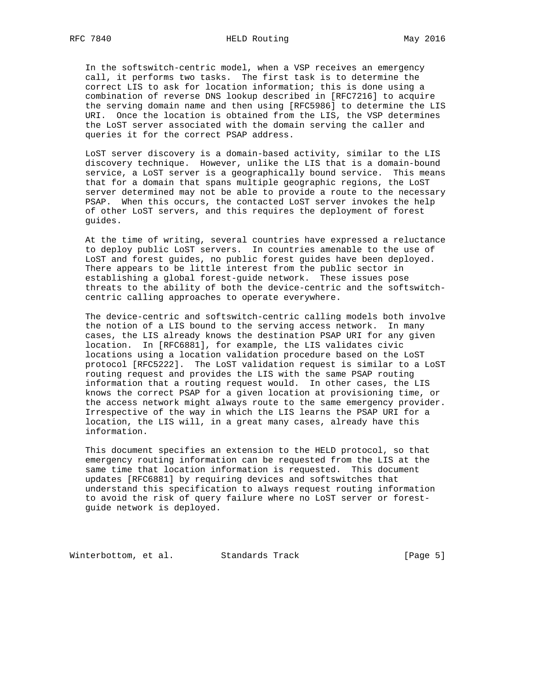In the softswitch-centric model, when a VSP receives an emergency call, it performs two tasks. The first task is to determine the correct LIS to ask for location information; this is done using a combination of reverse DNS lookup described in [RFC7216] to acquire the serving domain name and then using [RFC5986] to determine the LIS URI. Once the location is obtained from the LIS, the VSP determines the LoST server associated with the domain serving the caller and queries it for the correct PSAP address.

 LoST server discovery is a domain-based activity, similar to the LIS discovery technique. However, unlike the LIS that is a domain-bound service, a LoST server is a geographically bound service. This means that for a domain that spans multiple geographic regions, the LoST server determined may not be able to provide a route to the necessary PSAP. When this occurs, the contacted LoST server invokes the help of other LoST servers, and this requires the deployment of forest guides.

 At the time of writing, several countries have expressed a reluctance to deploy public LoST servers. In countries amenable to the use of LoST and forest guides, no public forest guides have been deployed. There appears to be little interest from the public sector in establishing a global forest-guide network. These issues pose threats to the ability of both the device-centric and the softswitch centric calling approaches to operate everywhere.

 The device-centric and softswitch-centric calling models both involve the notion of a LIS bound to the serving access network. In many cases, the LIS already knows the destination PSAP URI for any given location. In [RFC6881], for example, the LIS validates civic locations using a location validation procedure based on the LoST protocol [RFC5222]. The LoST validation request is similar to a LoST routing request and provides the LIS with the same PSAP routing information that a routing request would. In other cases, the LIS knows the correct PSAP for a given location at provisioning time, or the access network might always route to the same emergency provider. Irrespective of the way in which the LIS learns the PSAP URI for a location, the LIS will, in a great many cases, already have this information.

 This document specifies an extension to the HELD protocol, so that emergency routing information can be requested from the LIS at the same time that location information is requested. This document updates [RFC6881] by requiring devices and softswitches that understand this specification to always request routing information to avoid the risk of query failure where no LoST server or forest guide network is deployed.

Winterbottom, et al. Standards Track [Page 5]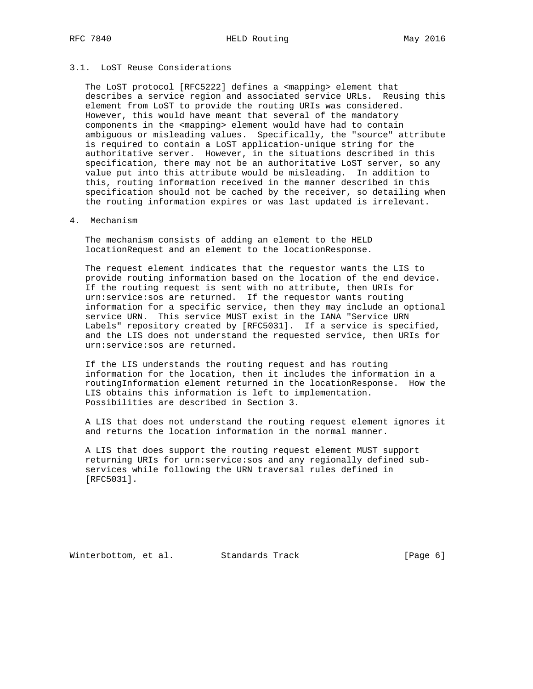# RFC 7840 **HELD Routing** May 2016

## 3.1. LoST Reuse Considerations

 The LoST protocol [RFC5222] defines a <mapping> element that describes a service region and associated service URLs. Reusing this element from LoST to provide the routing URIs was considered. However, this would have meant that several of the mandatory components in the <mapping> element would have had to contain ambiguous or misleading values. Specifically, the "source" attribute is required to contain a LoST application-unique string for the authoritative server. However, in the situations described in this specification, there may not be an authoritative LoST server, so any value put into this attribute would be misleading. In addition to this, routing information received in the manner described in this specification should not be cached by the receiver, so detailing when the routing information expires or was last updated is irrelevant.

### 4. Mechanism

 The mechanism consists of adding an element to the HELD locationRequest and an element to the locationResponse.

 The request element indicates that the requestor wants the LIS to provide routing information based on the location of the end device. If the routing request is sent with no attribute, then URIs for urn:service:sos are returned. If the requestor wants routing information for a specific service, then they may include an optional service URN. This service MUST exist in the IANA "Service URN Labels" repository created by [RFC5031]. If a service is specified, and the LIS does not understand the requested service, then URIs for urn:service:sos are returned.

 If the LIS understands the routing request and has routing information for the location, then it includes the information in a routingInformation element returned in the locationResponse. How the LIS obtains this information is left to implementation. Possibilities are described in Section 3.

 A LIS that does not understand the routing request element ignores it and returns the location information in the normal manner.

 A LIS that does support the routing request element MUST support returning URIs for urn:service:sos and any regionally defined sub services while following the URN traversal rules defined in [RFC5031].

Winterbottom, et al. Standards Track [Page 6]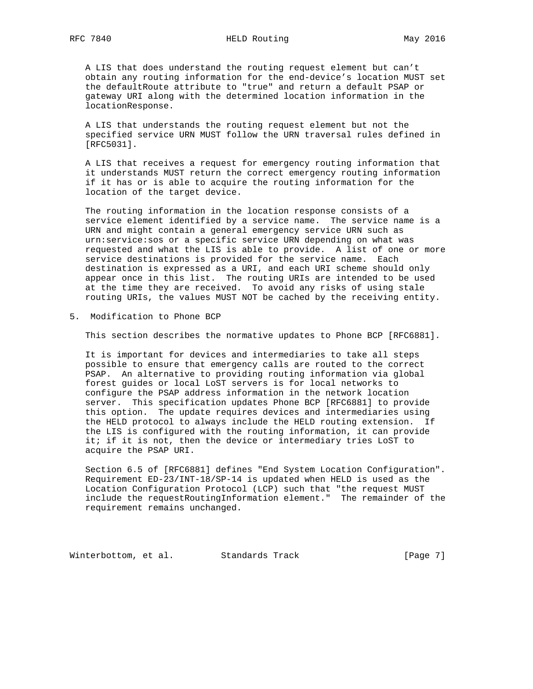A LIS that does understand the routing request element but can't obtain any routing information for the end-device's location MUST set the defaultRoute attribute to "true" and return a default PSAP or gateway URI along with the determined location information in the locationResponse.

 A LIS that understands the routing request element but not the specified service URN MUST follow the URN traversal rules defined in [RFC5031].

 A LIS that receives a request for emergency routing information that it understands MUST return the correct emergency routing information if it has or is able to acquire the routing information for the location of the target device.

 The routing information in the location response consists of a service element identified by a service name. The service name is a URN and might contain a general emergency service URN such as urn:service:sos or a specific service URN depending on what was requested and what the LIS is able to provide. A list of one or more service destinations is provided for the service name. Each destination is expressed as a URI, and each URI scheme should only appear once in this list. The routing URIs are intended to be used at the time they are received. To avoid any risks of using stale routing URIs, the values MUST NOT be cached by the receiving entity.

5. Modification to Phone BCP

This section describes the normative updates to Phone BCP [RFC6881].

 It is important for devices and intermediaries to take all steps possible to ensure that emergency calls are routed to the correct PSAP. An alternative to providing routing information via global forest guides or local LoST servers is for local networks to configure the PSAP address information in the network location server. This specification updates Phone BCP [RFC6881] to provide this option. The update requires devices and intermediaries using the HELD protocol to always include the HELD routing extension. If the LIS is configured with the routing information, it can provide it; if it is not, then the device or intermediary tries LoST to acquire the PSAP URI.

 Section 6.5 of [RFC6881] defines "End System Location Configuration". Requirement ED-23/INT-18/SP-14 is updated when HELD is used as the Location Configuration Protocol (LCP) such that "the request MUST include the requestRoutingInformation element." The remainder of the requirement remains unchanged.

Winterbottom, et al. Standards Track [Page 7]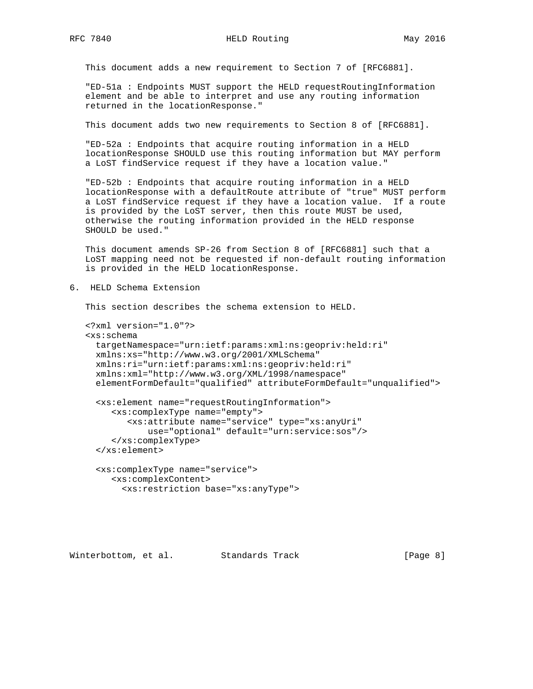This document adds a new requirement to Section 7 of [RFC6881].

 "ED-51a : Endpoints MUST support the HELD requestRoutingInformation element and be able to interpret and use any routing information returned in the locationResponse."

This document adds two new requirements to Section 8 of [RFC6881].

 "ED-52a : Endpoints that acquire routing information in a HELD locationResponse SHOULD use this routing information but MAY perform a LoST findService request if they have a location value."

 "ED-52b : Endpoints that acquire routing information in a HELD locationResponse with a defaultRoute attribute of "true" MUST perform a LoST findService request if they have a location value. If a route is provided by the LoST server, then this route MUST be used, otherwise the routing information provided in the HELD response SHOULD be used."

 This document amends SP-26 from Section 8 of [RFC6881] such that a LoST mapping need not be requested if non-default routing information is provided in the HELD locationResponse.

6. HELD Schema Extension

This section describes the schema extension to HELD.

```
 <?xml version="1.0"?>
<xs:schema
 targetNamespace="urn:ietf:params:xml:ns:geopriv:held:ri"
 xmlns:xs="http://www.w3.org/2001/XMLSchema"
 xmlns:ri="urn:ietf:params:xml:ns:geopriv:held:ri"
 xmlns:xml="http://www.w3.org/XML/1998/namespace"
 elementFormDefault="qualified" attributeFormDefault="unqualified">
  <xs:element name="requestRoutingInformation">
     <xs:complexType name="empty">
        <xs:attribute name="service" type="xs:anyUri"
            use="optional" default="urn:service:sos"/>
     </xs:complexType>
  </xs:element>
  <xs:complexType name="service">
```

```
 <xs:complexContent>
  <xs:restriction base="xs:anyType">
```
Winterbottom, et al. Standards Track [Page 8]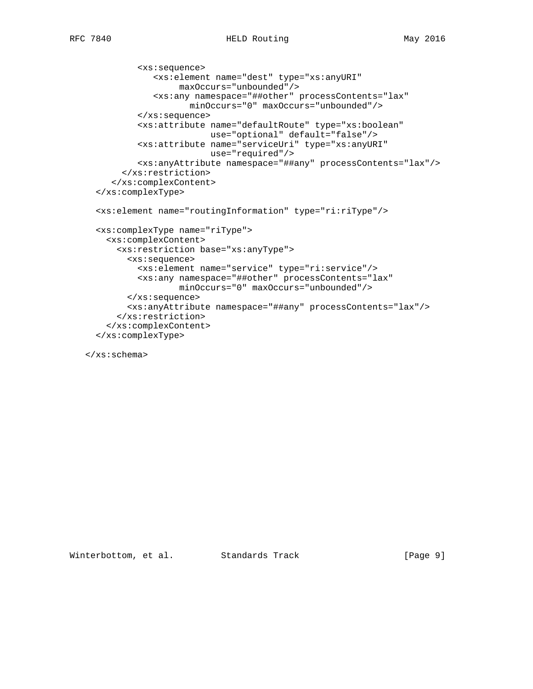```
 <xs:sequence>
          <xs:element name="dest" type="xs:anyURI"
                maxOccurs="unbounded"/>
           <xs:any namespace="##other" processContents="lax"
                  minOccurs="0" maxOccurs="unbounded"/>
        </xs:sequence>
        <xs:attribute name="defaultRoute" type="xs:boolean"
                      use="optional" default="false"/>
        <xs:attribute name="serviceUri" type="xs:anyURI"
                      use="required"/>
        <xs:anyAttribute namespace="##any" processContents="lax"/>
     </xs:restriction>
   </xs:complexContent>
</xs:complexType>
<xs:element name="routingInformation" type="ri:riType"/>
<xs:complexType name="riType">
 <xs:complexContent>
    <xs:restriction base="xs:anyType">
      <xs:sequence>
        <xs:element name="service" type="ri:service"/>
        <xs:any namespace="##other" processContents="lax"
                minOccurs="0" maxOccurs="unbounded"/>
      </xs:sequence>
      <xs:anyAttribute namespace="##any" processContents="lax"/>
    </xs:restriction>
  </xs:complexContent>
</xs:complexType>
```
</xs:schema>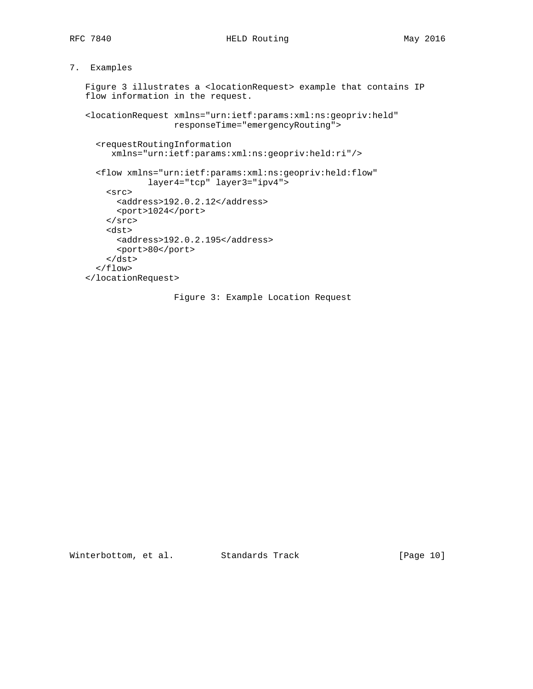## 7. Examples

 Figure 3 illustrates a <locationRequest> example that contains IP flow information in the request.

 <locationRequest xmlns="urn:ietf:params:xml:ns:geopriv:held" responseTime="emergencyRouting">

```
 <requestRoutingInformation
     xmlns="urn:ietf:params:xml:ns:geopriv:held:ri"/>
  <flow xmlns="urn:ietf:params:xml:ns:geopriv:held:flow"
            layer4="tcp" layer3="ipv4">
    <src>
      <address>192.0.2.12</address>
      <port>1024</port>
   \langlesrc>
    <dst>
      <address>192.0.2.195</address>
      <port>80</port>
    </dst>
 \langle flow>
</locationRequest>
```
Figure 3: Example Location Request

Winterbottom, et al. Standards Track [Page 10]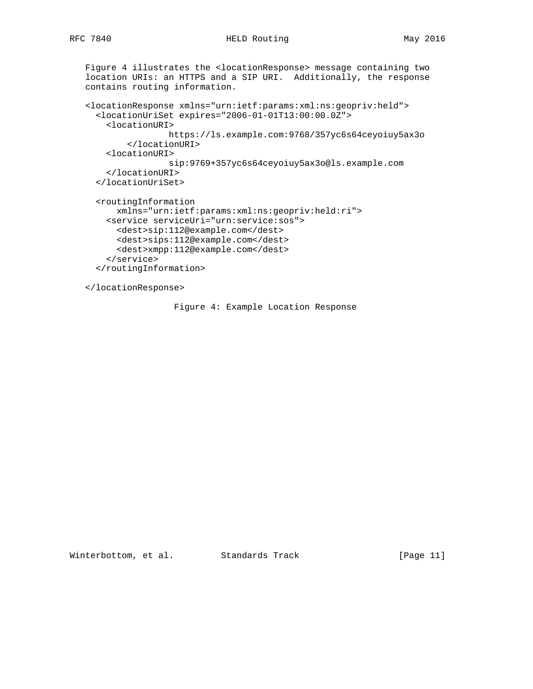```
 Figure 4 illustrates the <locationResponse> message containing two
location URIs: an HTTPS and a SIP URI. Additionally, the response
contains routing information.
<locationResponse xmlns="urn:ietf:params:xml:ns:geopriv:held">
  <locationUriSet expires="2006-01-01T13:00:00.0Z">
    <locationURI>
                https://ls.example.com:9768/357yc6s64ceyoiuy5ax3o
        </locationURI>
    <locationURI>
                sip:9769+357yc6s64ceyoiuy5ax3o@ls.example.com
    </locationURI>
  </locationUriSet>
  <routingInformation
      xmlns="urn:ietf:params:xml:ns:geopriv:held:ri">
    <service serviceUri="urn:service:sos">
      <dest>sip:112@example.com</dest>
      <dest>sips:112@example.com</dest>
      <dest>xmpp:112@example.com</dest>
    </service>
  </routingInformation>
</locationResponse>
```
Figure 4: Example Location Response

Winterbottom, et al. Standards Track [Page 11]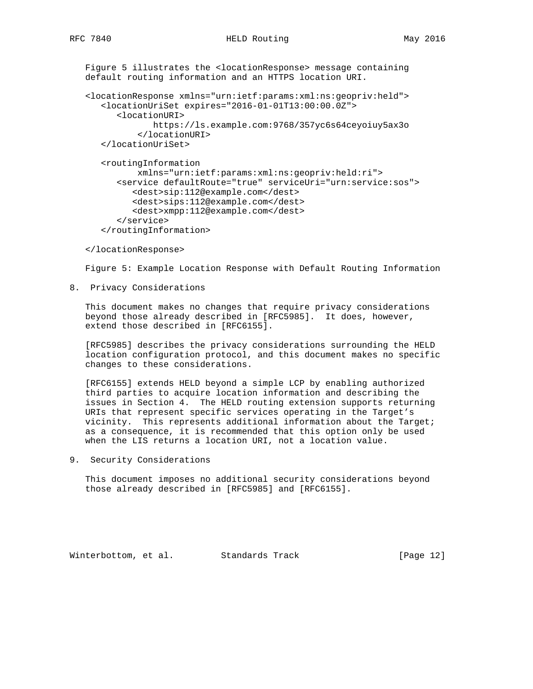Figure 5 illustrates the <locationResponse> message containing default routing information and an HTTPS location URI.

```
 <locationResponse xmlns="urn:ietf:params:xml:ns:geopriv:held">
   <locationUriSet expires="2016-01-01T13:00:00.0Z">
      <locationURI>
             https://ls.example.com:9768/357yc6s64ceyoiuy5ax3o
          </locationURI>
   </locationUriSet>
   <routingInformation
          xmlns="urn:ietf:params:xml:ns:geopriv:held:ri">
      <service defaultRoute="true" serviceUri="urn:service:sos">
         <dest>sip:112@example.com</dest>
         <dest>sips:112@example.com</dest>
         <dest>xmpp:112@example.com</dest>
      </service>
   </routingInformation>
```
</locationResponse>

Figure 5: Example Location Response with Default Routing Information

8. Privacy Considerations

 This document makes no changes that require privacy considerations beyond those already described in [RFC5985]. It does, however, extend those described in [RFC6155].

 [RFC5985] describes the privacy considerations surrounding the HELD location configuration protocol, and this document makes no specific changes to these considerations.

 [RFC6155] extends HELD beyond a simple LCP by enabling authorized third parties to acquire location information and describing the issues in Section 4. The HELD routing extension supports returning URIs that represent specific services operating in the Target's vicinity. This represents additional information about the Target; as a consequence, it is recommended that this option only be used when the LIS returns a location URI, not a location value.

9. Security Considerations

 This document imposes no additional security considerations beyond those already described in [RFC5985] and [RFC6155].

Winterbottom, et al. Standards Track [Page 12]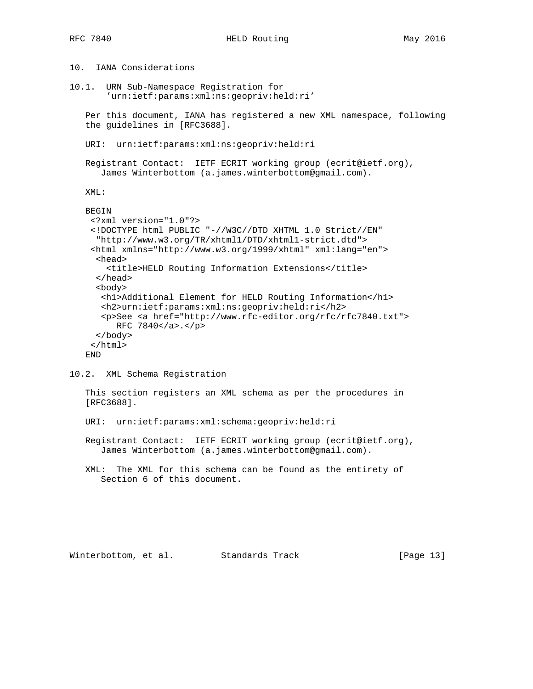10. IANA Considerations

10.1. URN Sub-Namespace Registration for 'urn:ietf:params:xml:ns:geopriv:held:ri' Per this document, IANA has registered a new XML namespace, following the guidelines in [RFC3688]. URI: urn:ietf:params:xml:ns:geopriv:held:ri Registrant Contact: IETF ECRIT working group (ecrit@ietf.org), James Winterbottom (a.james.winterbottom@gmail.com). XML: BEGIN <?xml version="1.0"?> <!DOCTYPE html PUBLIC "-//W3C//DTD XHTML 1.0 Strict//EN" "http://www.w3.org/TR/xhtml1/DTD/xhtml1-strict.dtd"> <html xmlns="http://www.w3.org/1999/xhtml" xml:lang="en"> <head> <title>HELD Routing Information Extensions</title> </head> <body> <h1>Additional Element for HELD Routing Information</h1> <h2>urn:ietf:params:xml:ns:geopriv:held:ri</h2> <p>See <a href="http://www.rfc-editor.org/rfc/rfc7840.txt"> RFC 7840</a>.</p> </body> </html> END

10.2. XML Schema Registration

 This section registers an XML schema as per the procedures in [RFC3688].

URI: urn:ietf:params:xml:schema:geopriv:held:ri

 Registrant Contact: IETF ECRIT working group (ecrit@ietf.org), James Winterbottom (a.james.winterbottom@gmail.com).

 XML: The XML for this schema can be found as the entirety of Section 6 of this document.

Winterbottom, et al. Standards Track [Page 13]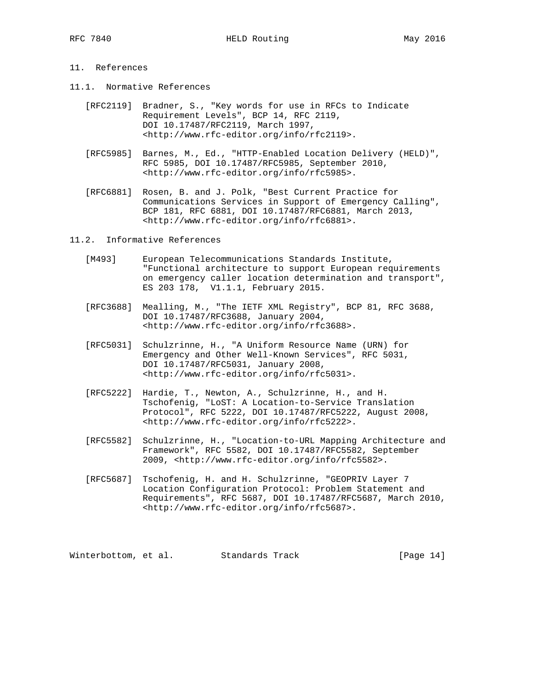### 11. References

- 11.1. Normative References
	- [RFC2119] Bradner, S., "Key words for use in RFCs to Indicate Requirement Levels", BCP 14, RFC 2119, DOI 10.17487/RFC2119, March 1997, <http://www.rfc-editor.org/info/rfc2119>.
	- [RFC5985] Barnes, M., Ed., "HTTP-Enabled Location Delivery (HELD)", RFC 5985, DOI 10.17487/RFC5985, September 2010, <http://www.rfc-editor.org/info/rfc5985>.
	- [RFC6881] Rosen, B. and J. Polk, "Best Current Practice for Communications Services in Support of Emergency Calling", BCP 181, RFC 6881, DOI 10.17487/RFC6881, March 2013, <http://www.rfc-editor.org/info/rfc6881>.

11.2. Informative References

- [M493] European Telecommunications Standards Institute, "Functional architecture to support European requirements on emergency caller location determination and transport", ES 203 178, V1.1.1, February 2015.
- [RFC3688] Mealling, M., "The IETF XML Registry", BCP 81, RFC 3688, DOI 10.17487/RFC3688, January 2004, <http://www.rfc-editor.org/info/rfc3688>.
- [RFC5031] Schulzrinne, H., "A Uniform Resource Name (URN) for Emergency and Other Well-Known Services", RFC 5031, DOI 10.17487/RFC5031, January 2008, <http://www.rfc-editor.org/info/rfc5031>.
- [RFC5222] Hardie, T., Newton, A., Schulzrinne, H., and H. Tschofenig, "LoST: A Location-to-Service Translation Protocol", RFC 5222, DOI 10.17487/RFC5222, August 2008, <http://www.rfc-editor.org/info/rfc5222>.
- [RFC5582] Schulzrinne, H., "Location-to-URL Mapping Architecture and Framework", RFC 5582, DOI 10.17487/RFC5582, September 2009, <http://www.rfc-editor.org/info/rfc5582>.
- [RFC5687] Tschofenig, H. and H. Schulzrinne, "GEOPRIV Layer 7 Location Configuration Protocol: Problem Statement and Requirements", RFC 5687, DOI 10.17487/RFC5687, March 2010, <http://www.rfc-editor.org/info/rfc5687>.

Winterbottom, et al. Standards Track [Page 14]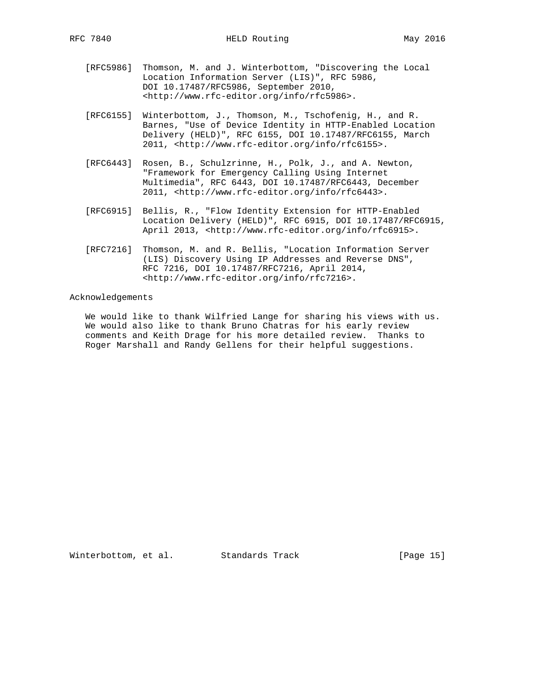- [RFC5986] Thomson, M. and J. Winterbottom, "Discovering the Local Location Information Server (LIS)", RFC 5986, DOI 10.17487/RFC5986, September 2010, <http://www.rfc-editor.org/info/rfc5986>.
- [RFC6155] Winterbottom, J., Thomson, M., Tschofenig, H., and R. Barnes, "Use of Device Identity in HTTP-Enabled Location Delivery (HELD)", RFC 6155, DOI 10.17487/RFC6155, March 2011, <http://www.rfc-editor.org/info/rfc6155>.
- [RFC6443] Rosen, B., Schulzrinne, H., Polk, J., and A. Newton, "Framework for Emergency Calling Using Internet Multimedia", RFC 6443, DOI 10.17487/RFC6443, December 2011, <http://www.rfc-editor.org/info/rfc6443>.
- [RFC6915] Bellis, R., "Flow Identity Extension for HTTP-Enabled Location Delivery (HELD)", RFC 6915, DOI 10.17487/RFC6915, April 2013, <http://www.rfc-editor.org/info/rfc6915>.
- [RFC7216] Thomson, M. and R. Bellis, "Location Information Server (LIS) Discovery Using IP Addresses and Reverse DNS", RFC 7216, DOI 10.17487/RFC7216, April 2014, <http://www.rfc-editor.org/info/rfc7216>.

Acknowledgements

 We would like to thank Wilfried Lange for sharing his views with us. We would also like to thank Bruno Chatras for his early review comments and Keith Drage for his more detailed review. Thanks to Roger Marshall and Randy Gellens for their helpful suggestions.

Winterbottom, et al. Standards Track [Page 15]